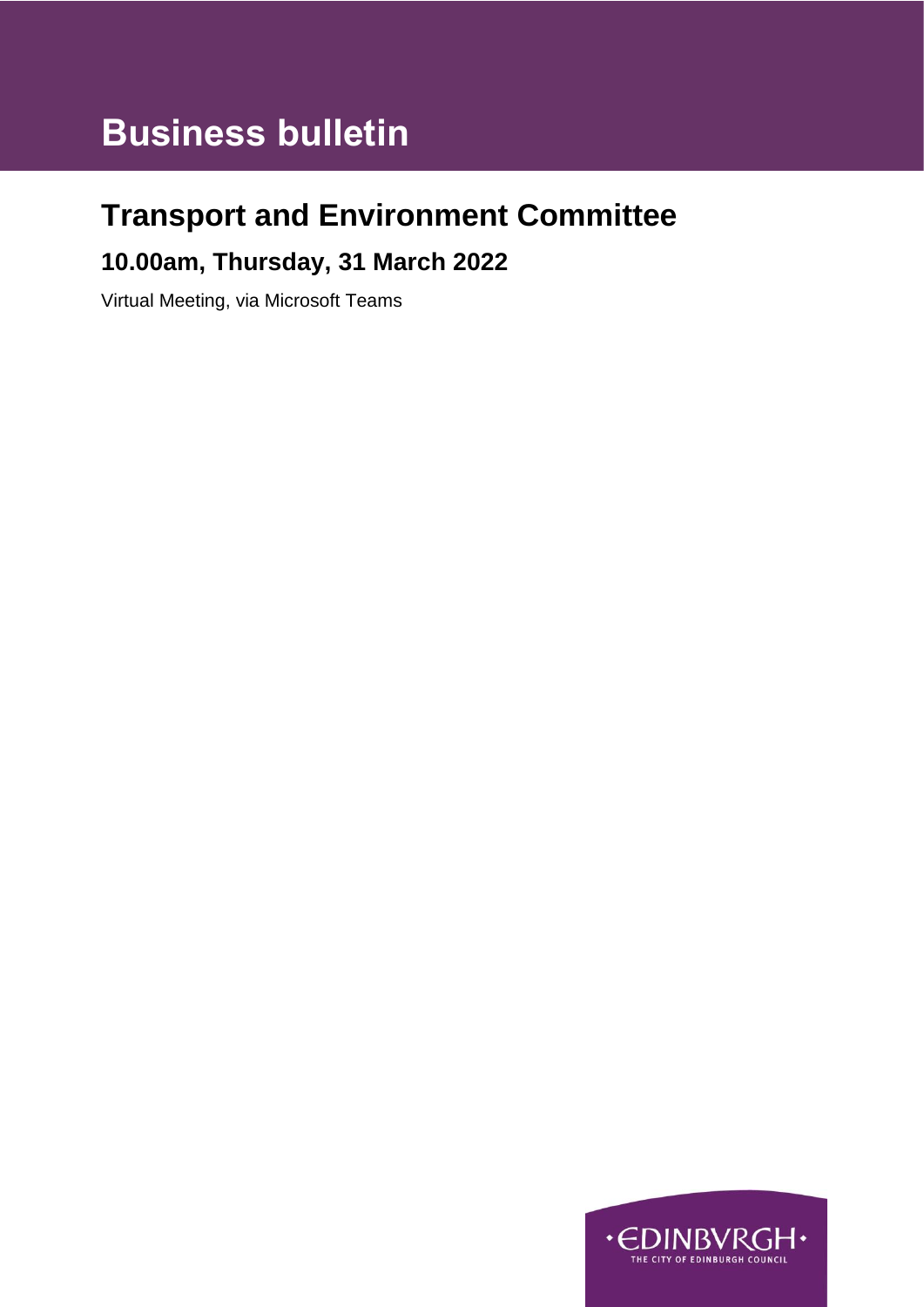# **Business bulletin**

### **Transport and Environment Committee**

### **10.00am, Thursday, 31 March 2022**

Virtual Meeting, via Microsoft Teams

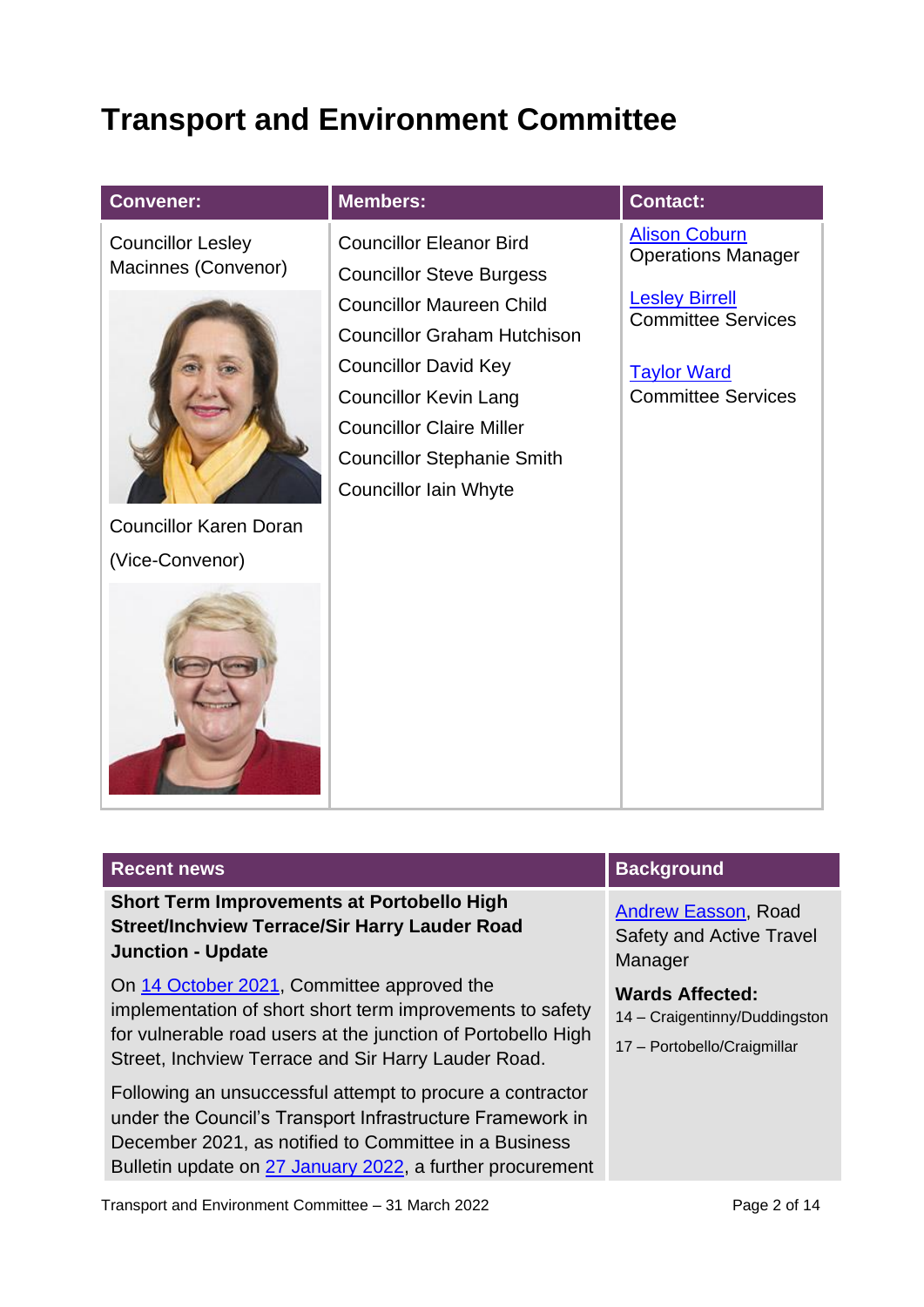## **Transport and Environment Committee**

| <b>Convener:</b>                                 | <b>Members:</b>                                                                                                                                                                                              | <b>Contact:</b>                                                                                       |
|--------------------------------------------------|--------------------------------------------------------------------------------------------------------------------------------------------------------------------------------------------------------------|-------------------------------------------------------------------------------------------------------|
| <b>Councillor Lesley</b><br>Macinnes (Convenor)  | <b>Councillor Eleanor Bird</b><br><b>Councillor Steve Burgess</b>                                                                                                                                            | <b>Alison Coburn</b><br><b>Operations Manager</b>                                                     |
|                                                  | <b>Councillor Maureen Child</b><br><b>Councillor Graham Hutchison</b><br><b>Councillor David Key</b><br><b>Councillor Kevin Lang</b><br><b>Councillor Claire Miller</b><br><b>Councillor Stephanie Smith</b> | <b>Lesley Birrell</b><br><b>Committee Services</b><br><b>Taylor Ward</b><br><b>Committee Services</b> |
| <b>Councillor Karen Doran</b><br>(Vice-Convenor) | <b>Councillor Iain Whyte</b>                                                                                                                                                                                 |                                                                                                       |
|                                                  |                                                                                                                                                                                                              |                                                                                                       |

| <b>Recent news</b>                                                                                                                                                                                                                           | <b>Background</b>                                                                      |
|----------------------------------------------------------------------------------------------------------------------------------------------------------------------------------------------------------------------------------------------|----------------------------------------------------------------------------------------|
| <b>Short Term Improvements at Portobello High</b><br><b>Street/Inchview Terrace/Sir Harry Lauder Road</b><br><b>Junction - Update</b>                                                                                                        | <b>Andrew Easson, Road</b><br><b>Safety and Active Travel</b><br>Manager               |
| On 14 October 2021, Committee approved the<br>implementation of short short term improvements to safety<br>for vulnerable road users at the junction of Portobello High<br>Street, Inchview Terrace and Sir Harry Lauder Road.               | <b>Wards Affected:</b><br>14 - Craigentinny/Duddingston<br>17 - Portobello/Craigmillar |
| Following an unsuccessful attempt to procure a contractor<br>under the Council's Transport Infrastructure Framework in<br>December 2021, as notified to Committee in a Business<br>Bulletin update on 27 January 2022, a further procurement |                                                                                        |
| Transport and Environment Committee - 31 March 2022                                                                                                                                                                                          | Page 2 of 14                                                                           |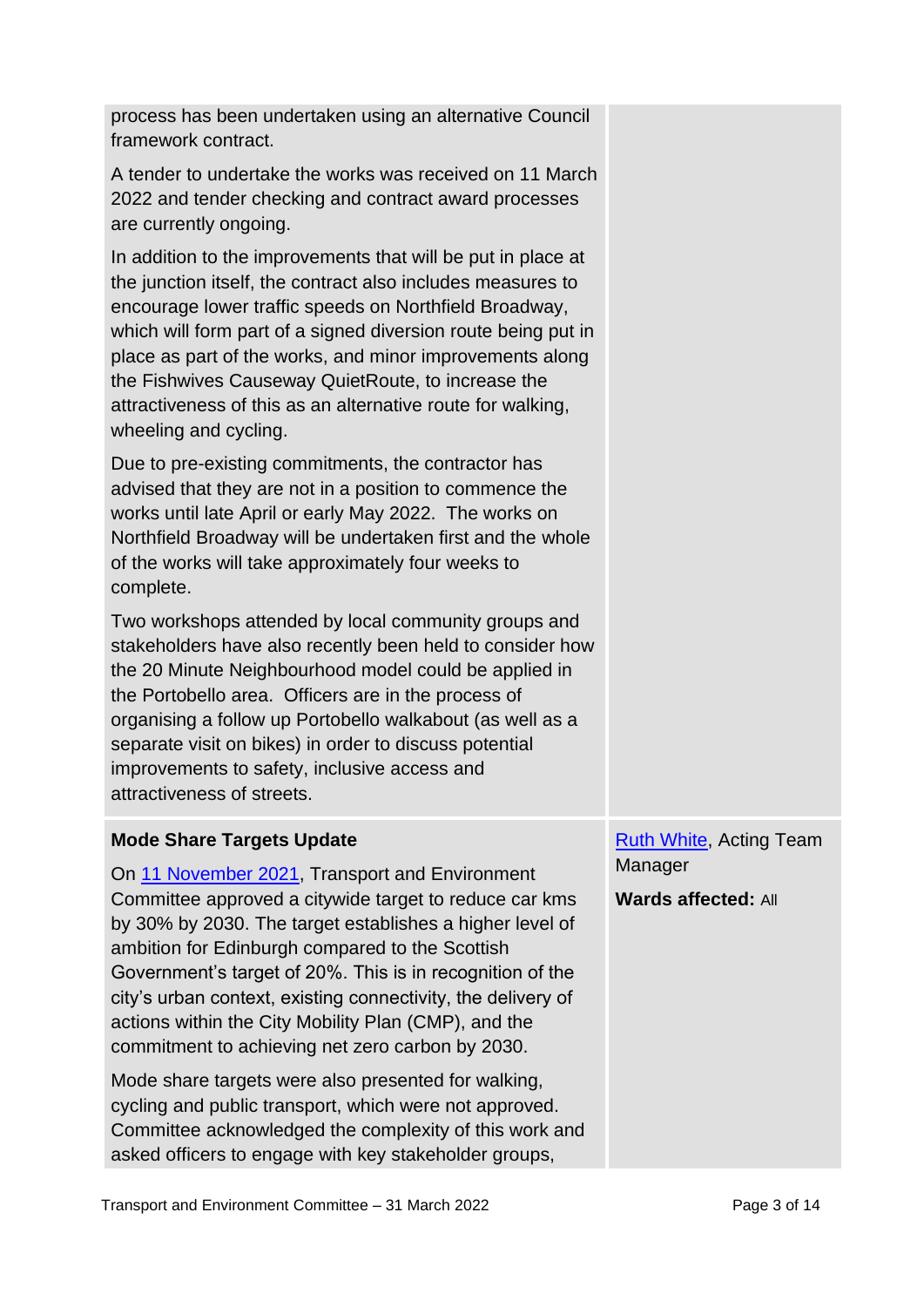process has been undertaken using an alternative Council framework contract.

A tender to undertake the works was received on 11 March 2022 and tender checking and contract award processes are currently ongoing.

In addition to the improvements that will be put in place at the junction itself, the contract also includes measures to encourage lower traffic speeds on Northfield Broadway, which will form part of a signed diversion route being put in place as part of the works, and minor improvements along the Fishwives Causeway QuietRoute, to increase the attractiveness of this as an alternative route for walking, wheeling and cycling.

Due to pre-existing commitments, the contractor has advised that they are not in a position to commence the works until late April or early May 2022. The works on Northfield Broadway will be undertaken first and the whole of the works will take approximately four weeks to complete.

Two workshops attended by local community groups and stakeholders have also recently been held to consider how the 20 Minute Neighbourhood model could be applied in the Portobello area. Officers are in the process of organising a follow up Portobello walkabout (as well as a separate visit on bikes) in order to discuss potential improvements to safety, inclusive access and attractiveness of streets.

#### **Mode Share Targets Update**

On [11 November 2021,](https://democracy.edinburgh.gov.uk/ieListDocuments.aspx?CId=136&MId=6156&Ver=4) Transport and Environment Committee approved a citywide target to reduce car kms by 30% by 2030. The target establishes a higher level of ambition for Edinburgh compared to the Scottish Government's target of 20%. This is in recognition of the city's urban context, existing connectivity, the delivery of actions within the City Mobility Plan (CMP), and the commitment to achieving net zero carbon by 2030.

Mode share targets were also presented for walking, cycling and public transport, which were not approved. Committee acknowledged the complexity of this work and asked officers to engage with key stakeholder groups,

**[Ruth White,](mailto:Ruth.White@edinburgh.gov.uk) Acting Team Manager** 

**Wards affected:** All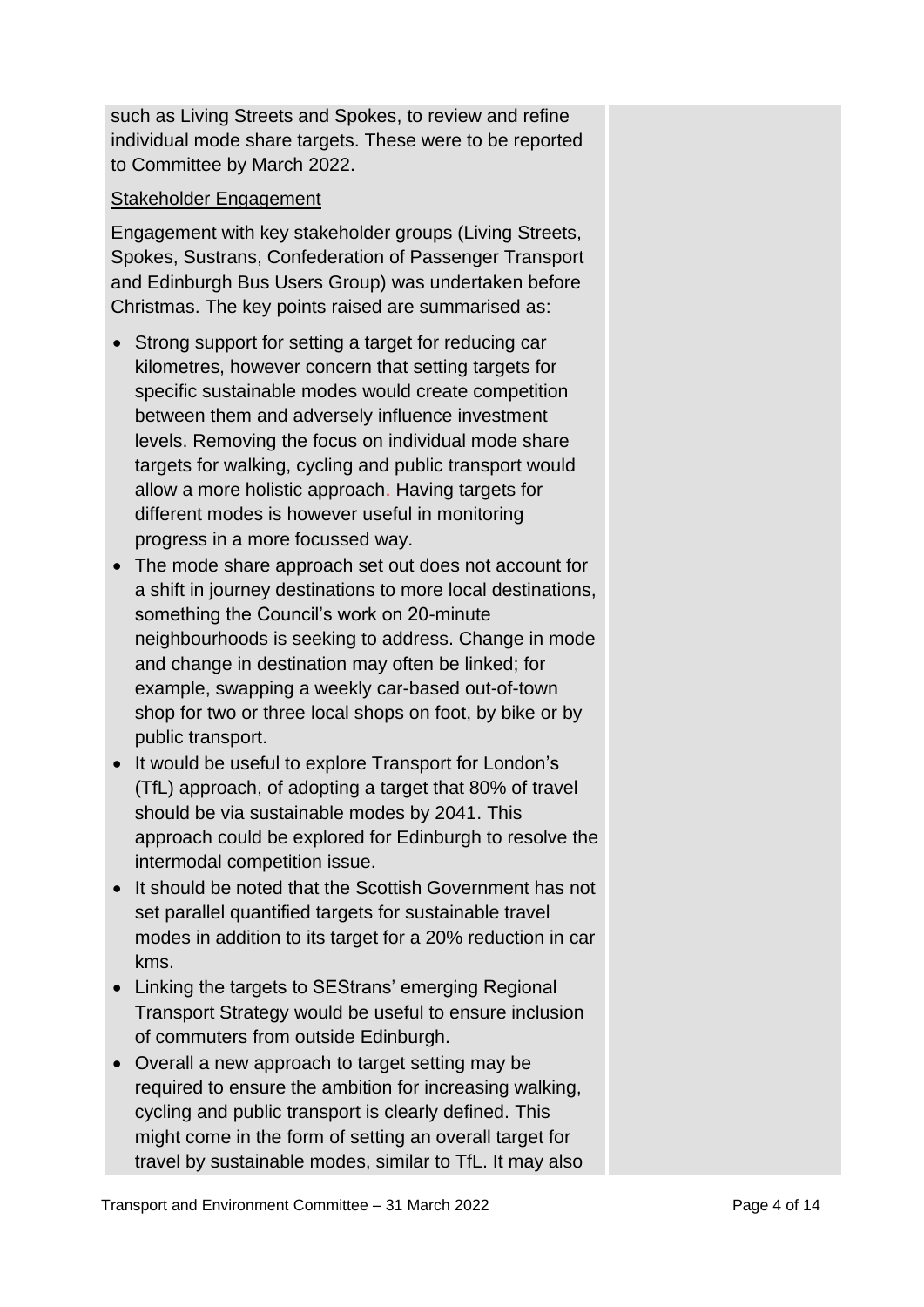such as Living Streets and Spokes, to review and refine individual mode share targets. These were to be reported to Committee by March 2022.

#### Stakeholder Engagement

Engagement with key stakeholder groups (Living Streets, Spokes, Sustrans, Confederation of Passenger Transport and Edinburgh Bus Users Group) was undertaken before Christmas. The key points raised are summarised as:

- Strong support for setting a target for reducing car kilometres, however concern that setting targets for specific sustainable modes would create competition between them and adversely influence investment levels. Removing the focus on individual mode share targets for walking, cycling and public transport would allow a more holistic approach. Having targets for different modes is however useful in monitoring progress in a more focussed way.
- The mode share approach set out does not account for a shift in journey destinations to more local destinations, something the Council's work on 20-minute neighbourhoods is seeking to address. Change in mode and change in destination may often be linked; for example, swapping a weekly car-based out-of-town shop for two or three local shops on foot, by bike or by public transport.
- It would be useful to explore Transport for London's (TfL) approach, of adopting a target that 80% of travel should be via sustainable modes by 2041. This approach could be explored for Edinburgh to resolve the intermodal competition issue.
- It should be noted that the Scottish Government has not set parallel quantified targets for sustainable travel modes in addition to its target for a 20% reduction in car kms.
- Linking the targets to SEStrans' emerging Regional Transport Strategy would be useful to ensure inclusion of commuters from outside Edinburgh.
- Overall a new approach to target setting may be required to ensure the ambition for increasing walking, cycling and public transport is clearly defined. This might come in the form of setting an overall target for travel by sustainable modes, similar to TfL. It may also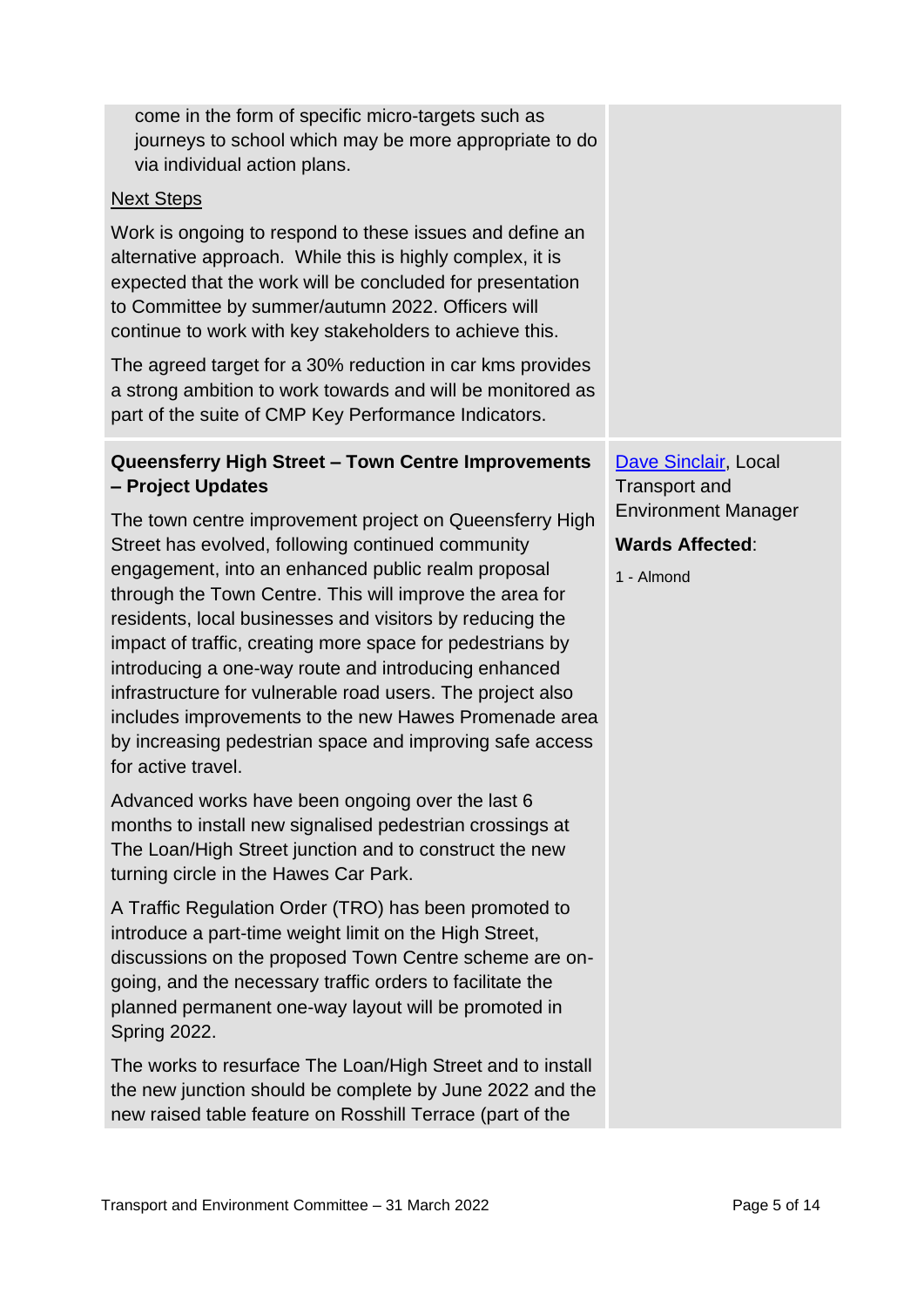| come in the form of specific micro-targets such as<br>journeys to school which may be more appropriate to do<br>via individual action plans.                                                                                                                                                                                                                                                                                                                                                                                                                                                                            |                                                                    |
|-------------------------------------------------------------------------------------------------------------------------------------------------------------------------------------------------------------------------------------------------------------------------------------------------------------------------------------------------------------------------------------------------------------------------------------------------------------------------------------------------------------------------------------------------------------------------------------------------------------------------|--------------------------------------------------------------------|
| <b>Next Steps</b>                                                                                                                                                                                                                                                                                                                                                                                                                                                                                                                                                                                                       |                                                                    |
| Work is ongoing to respond to these issues and define an<br>alternative approach. While this is highly complex, it is<br>expected that the work will be concluded for presentation<br>to Committee by summer/autumn 2022. Officers will<br>continue to work with key stakeholders to achieve this.                                                                                                                                                                                                                                                                                                                      |                                                                    |
| The agreed target for a 30% reduction in car kms provides<br>a strong ambition to work towards and will be monitored as<br>part of the suite of CMP Key Performance Indicators.                                                                                                                                                                                                                                                                                                                                                                                                                                         |                                                                    |
| Queensferry High Street - Town Centre Improvements<br>- Project Updates                                                                                                                                                                                                                                                                                                                                                                                                                                                                                                                                                 | Dave Sinclair, Local<br><b>Transport and</b>                       |
| The town centre improvement project on Queensferry High<br>Street has evolved, following continued community<br>engagement, into an enhanced public realm proposal<br>through the Town Centre. This will improve the area for<br>residents, local businesses and visitors by reducing the<br>impact of traffic, creating more space for pedestrians by<br>introducing a one-way route and introducing enhanced<br>infrastructure for vulnerable road users. The project also<br>includes improvements to the new Hawes Promenade area<br>by increasing pedestrian space and improving safe access<br>for active travel. | <b>Environment Manager</b><br><b>Wards Affected:</b><br>1 - Almond |
| Advanced works have been ongoing over the last 6<br>months to install new signalised pedestrian crossings at<br>The Loan/High Street junction and to construct the new<br>turning circle in the Hawes Car Park.                                                                                                                                                                                                                                                                                                                                                                                                         |                                                                    |
| A Traffic Regulation Order (TRO) has been promoted to<br>introduce a part-time weight limit on the High Street,<br>discussions on the proposed Town Centre scheme are on-<br>going, and the necessary traffic orders to facilitate the<br>planned permanent one-way layout will be promoted in<br><b>Spring 2022.</b>                                                                                                                                                                                                                                                                                                   |                                                                    |
| The works to resurface The Loan/High Street and to install<br>the new junction should be complete by June 2022 and the<br>new raised table feature on Rosshill Terrace (part of the                                                                                                                                                                                                                                                                                                                                                                                                                                     |                                                                    |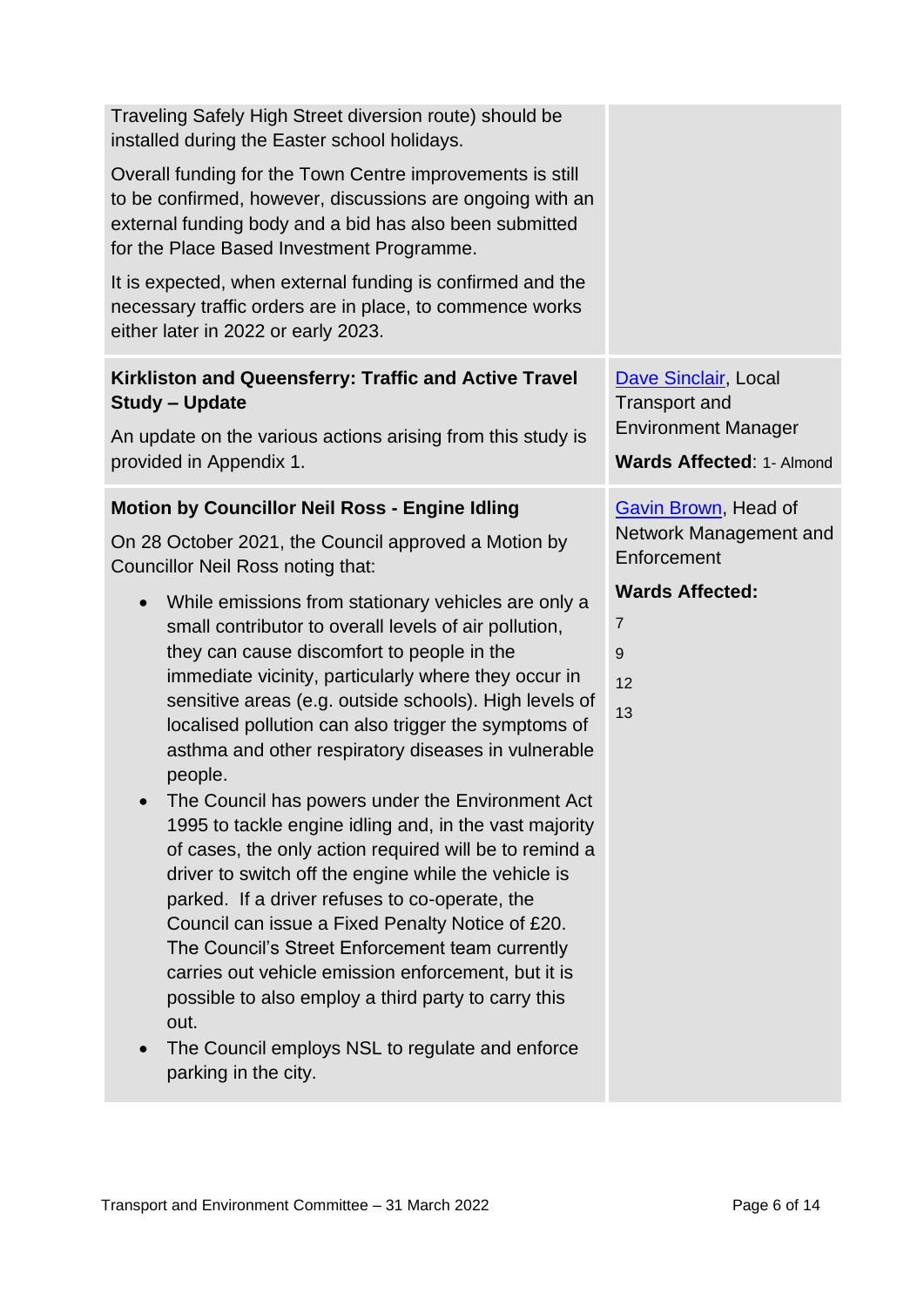| Traveling Safely High Street diversion route) should be<br>installed during the Easter school holidays.                                                                                                                                                                                                                                                                                                                                                                                                                                                                                                                                                                                                                                                                                                                                                                                                                            |                                                                                                                |
|------------------------------------------------------------------------------------------------------------------------------------------------------------------------------------------------------------------------------------------------------------------------------------------------------------------------------------------------------------------------------------------------------------------------------------------------------------------------------------------------------------------------------------------------------------------------------------------------------------------------------------------------------------------------------------------------------------------------------------------------------------------------------------------------------------------------------------------------------------------------------------------------------------------------------------|----------------------------------------------------------------------------------------------------------------|
| Overall funding for the Town Centre improvements is still<br>to be confirmed, however, discussions are ongoing with an<br>external funding body and a bid has also been submitted<br>for the Place Based Investment Programme.                                                                                                                                                                                                                                                                                                                                                                                                                                                                                                                                                                                                                                                                                                     |                                                                                                                |
| It is expected, when external funding is confirmed and the<br>necessary traffic orders are in place, to commence works<br>either later in 2022 or early 2023.                                                                                                                                                                                                                                                                                                                                                                                                                                                                                                                                                                                                                                                                                                                                                                      |                                                                                                                |
| Kirkliston and Queensferry: Traffic and Active Travel<br><b>Study - Update</b><br>An update on the various actions arising from this study is<br>provided in Appendix 1.                                                                                                                                                                                                                                                                                                                                                                                                                                                                                                                                                                                                                                                                                                                                                           | Dave Sinclair, Local<br><b>Transport and</b><br><b>Environment Manager</b><br><b>Wards Affected: 1- Almond</b> |
| <b>Motion by Councillor Neil Ross - Engine Idling</b>                                                                                                                                                                                                                                                                                                                                                                                                                                                                                                                                                                                                                                                                                                                                                                                                                                                                              | Gavin Brown, Head of                                                                                           |
| On 28 October 2021, the Council approved a Motion by<br>Councillor Neil Ross noting that:                                                                                                                                                                                                                                                                                                                                                                                                                                                                                                                                                                                                                                                                                                                                                                                                                                          | Network Management and<br>Enforcement                                                                          |
| While emissions from stationary vehicles are only a<br>$\bullet$<br>small contributor to overall levels of air pollution,<br>they can cause discomfort to people in the<br>immediate vicinity, particularly where they occur in<br>sensitive areas (e.g. outside schools). High levels of<br>localised pollution can also trigger the symptoms of<br>asthma and other respiratory diseases in vulnerable<br>people.<br>The Council has powers under the Environment Act<br>1995 to tackle engine idling and, in the vast majority<br>of cases, the only action required will be to remind a<br>driver to switch off the engine while the vehicle is<br>parked. If a driver refuses to co-operate, the<br>Council can issue a Fixed Penalty Notice of £20.<br>The Council's Street Enforcement team currently<br>carries out vehicle emission enforcement, but it is<br>possible to also employ a third party to carry this<br>out. | <b>Wards Affected:</b><br>$\overline{7}$<br>9<br>12<br>13                                                      |

• The Council employs NSL to regulate and enforce parking in the city.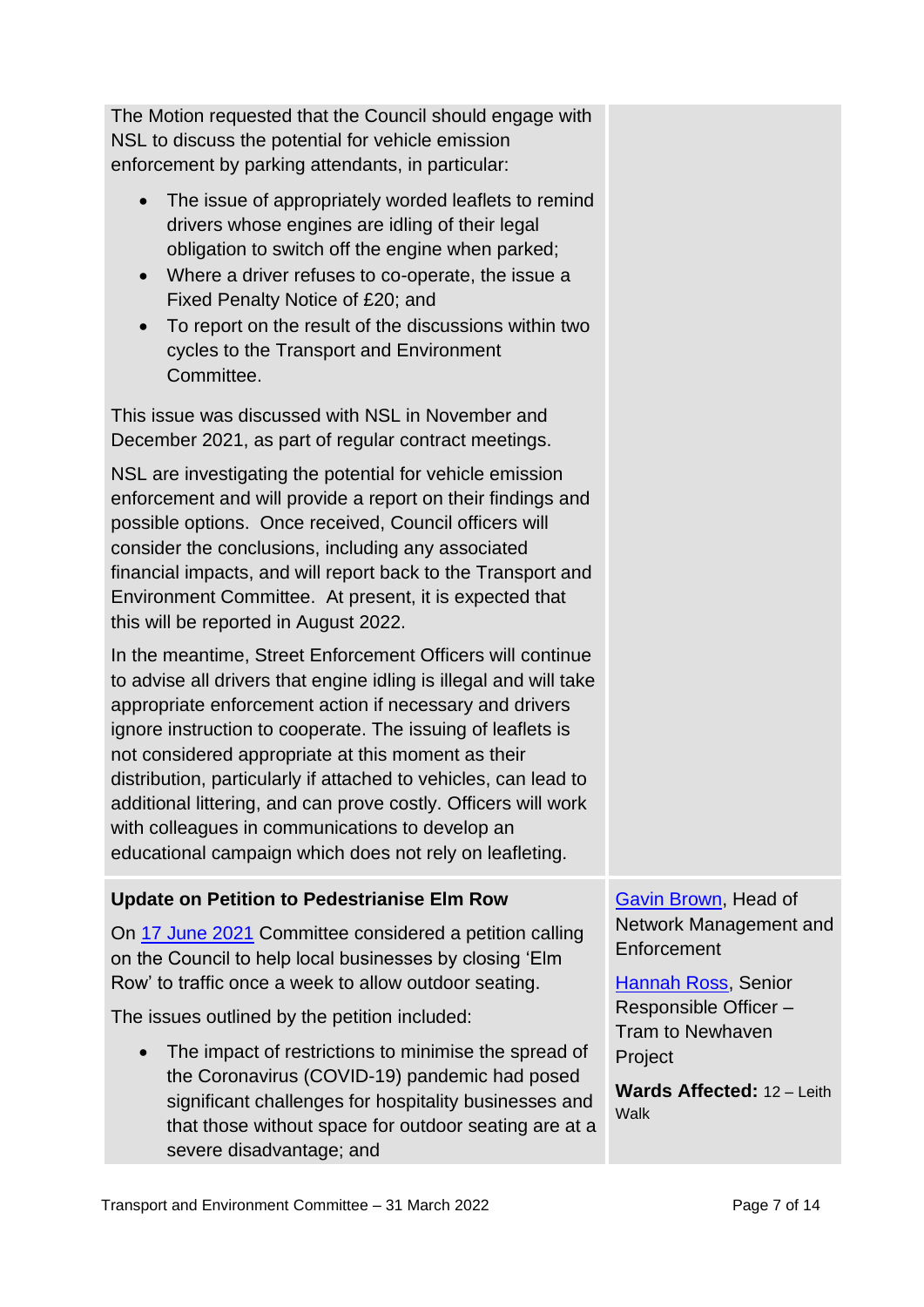The Motion requested that the Council should engage with NSL to discuss the potential for vehicle emission enforcement by parking attendants, in particular:

- The issue of appropriately worded leaflets to remind drivers whose engines are idling of their legal obligation to switch off the engine when parked;
- Where a driver refuses to co-operate, the issue a Fixed Penalty Notice of £20; and
- To report on the result of the discussions within two cycles to the Transport and Environment Committee.

This issue was discussed with NSL in November and December 2021, as part of regular contract meetings.

NSL are investigating the potential for vehicle emission enforcement and will provide a report on their findings and possible options. Once received, Council officers will consider the conclusions, including any associated financial impacts, and will report back to the Transport and Environment Committee. At present, it is expected that this will be reported in August 2022.

In the meantime, Street Enforcement Officers will continue to advise all drivers that engine idling is illegal and will take appropriate enforcement action if necessary and drivers ignore instruction to cooperate. The issuing of leaflets is not considered appropriate at this moment as their distribution, particularly if attached to vehicles, can lead to additional littering, and can prove costly. Officers will work with colleagues in communications to develop an educational campaign which does not rely on leafleting.

#### **Update on Petition to Pedestrianise Elm Row**

On [17 June 2021](https://democracy.edinburgh.gov.uk/documents/s34944/7.3%20-%20Petitions%20Report%20-%20Pedestrianise%20Elm%20Row%20v2.pdf) Committee considered a petition calling on the Council to help local businesses by closing 'Elm Row' to traffic once a week to allow outdoor seating.

The issues outlined by the petition included:

• The impact of restrictions to minimise the spread of the Coronavirus (COVID-19) pandemic had posed significant challenges for hospitality businesses and that those without space for outdoor seating are at a severe disadvantage; and

[Gavin Brown,](mailto:gavin.brown@edinburgh.gov.uk) Head of Network Management and **Enforcement** 

[Hannah Ross,](mailto:hannah.ross@edinburgh.gov.uk) Senior Responsible Officer – Tram to Newhaven **Project** 

**Wards Affected:** 12 – Leith Walk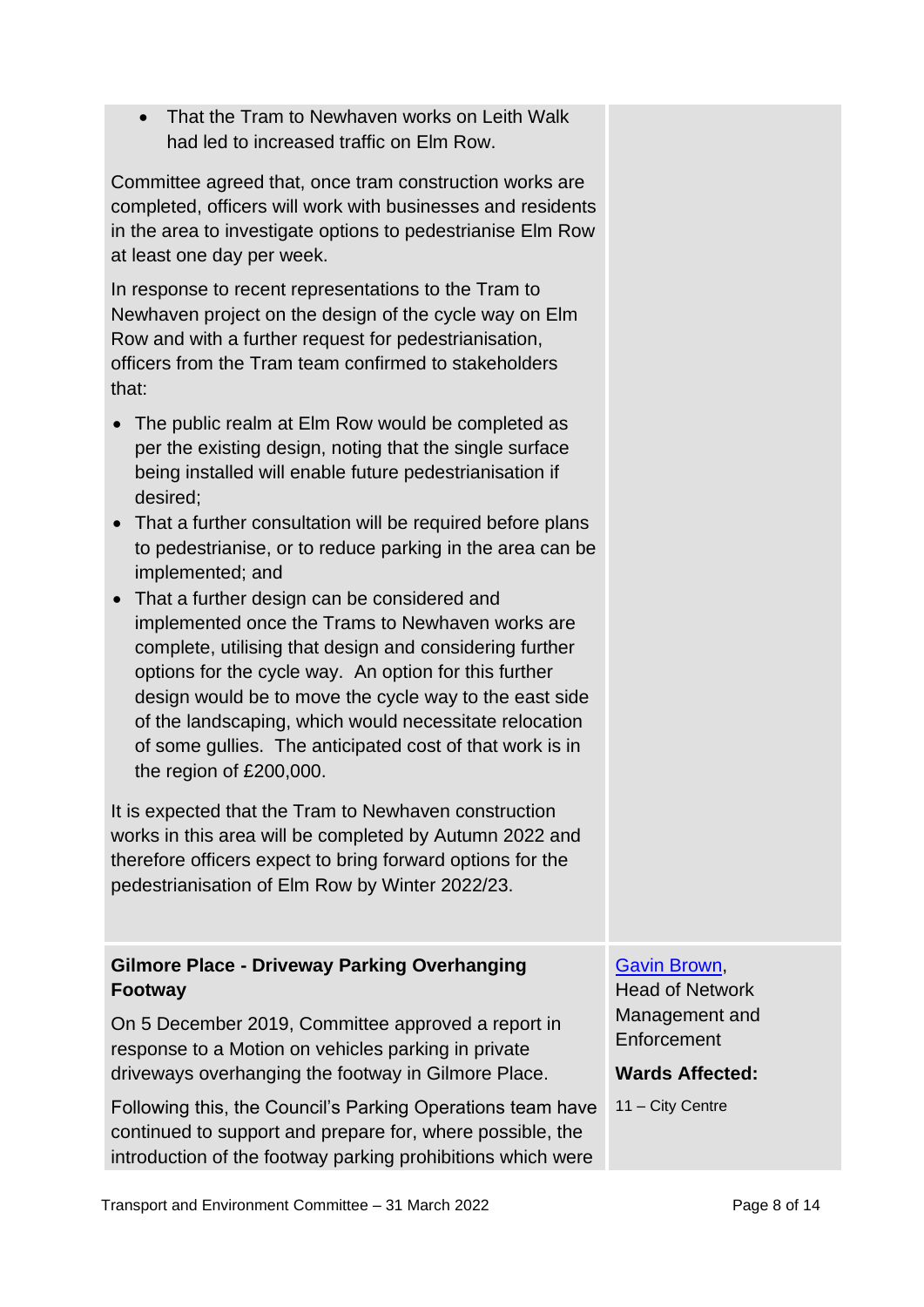• That the Tram to Newhaven works on Leith Walk had led to increased traffic on Elm Row.

Committee agreed that, once tram construction works are completed, officers will work with businesses and residents in the area to investigate options to pedestrianise Elm Row at least one day per week.

In response to recent representations to the Tram to Newhaven project on the design of the cycle way on Elm Row and with a further request for pedestrianisation, officers from the Tram team confirmed to stakeholders that:

- The public realm at Elm Row would be completed as per the existing design, noting that the single surface being installed will enable future pedestrianisation if desired;
- That a further consultation will be required before plans to pedestrianise, or to reduce parking in the area can be implemented; and
- That a further design can be considered and implemented once the Trams to Newhaven works are complete, utilising that design and considering further options for the cycle way. An option for this further design would be to move the cycle way to the east side of the landscaping, which would necessitate relocation of some gullies. The anticipated cost of that work is in the region of £200,000.

It is expected that the Tram to Newhaven construction works in this area will be completed by Autumn 2022 and therefore officers expect to bring forward options for the pedestrianisation of Elm Row by Winter 2022/23.

#### **Gilmore Place - Driveway Parking Overhanging Footway**

On 5 December 2019, Committee approved a report in response to a Motion on vehicles parking in private driveways overhanging the footway in Gilmore Place.

Following this, the Council's Parking Operations team have continued to support and prepare for, where possible, the introduction of the footway parking prohibitions which were

#### [Gavin Brown,](mailto:gavin.brown@edinburgh.gov.uk)

Head of Network Management and **Enforcement** 

#### **Wards Affected:**

11 – City Centre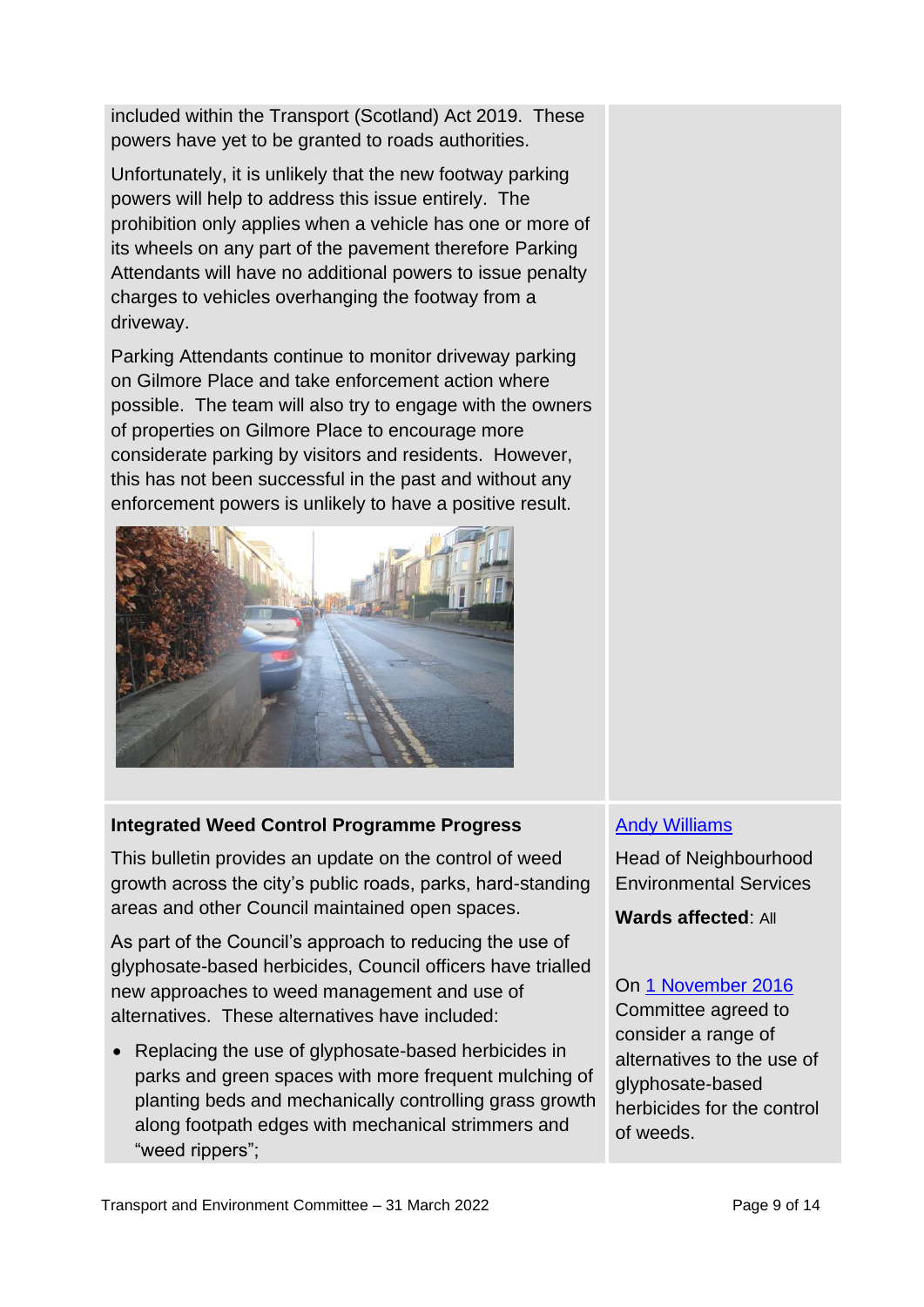included within the Transport (Scotland) Act 2019. These powers have yet to be granted to roads authorities.

Unfortunately, it is unlikely that the new footway parking powers will help to address this issue entirely. The prohibition only applies when a vehicle has one or more of its wheels on any part of the pavement therefore Parking Attendants will have no additional powers to issue penalty charges to vehicles overhanging the footway from a driveway.

Parking Attendants continue to monitor driveway parking on Gilmore Place and take enforcement action where possible. The team will also try to engage with the owners of properties on Gilmore Place to encourage more considerate parking by visitors and residents. However, this has not been successful in the past and without any enforcement powers is unlikely to have a positive result.



#### **Integrated Weed Control Programme Progress**

This bulletin provides an update on the control of weed growth across the city's public roads, parks, hard-standing areas and other Council maintained open spaces.

As part of the Council's approach to reducing the use of glyphosate-based herbicides, Council officers have trialled new approaches to weed management and use of alternatives. These alternatives have included:

• Replacing the use of glyphosate-based herbicides in parks and green spaces with more frequent mulching of planting beds and mechanically controlling grass growth along footpath edges with mechanical strimmers and "weed rippers";

#### [Andy Williams](mailto:andy.williams@edinburgh.gov.uk)

Head of Neighbourhood Environmental Services

**Wards affected**: All

#### On [1 November 2016](https://democracy.edinburgh.gov.uk/CeListDocuments.aspx?CommitteeId=136&MeetingId=4747&DF=01%2f11%2f2016&Ver=2)

Committee agreed to consider a range of alternatives to the use of glyphosate-based herbicides for the control of weeds.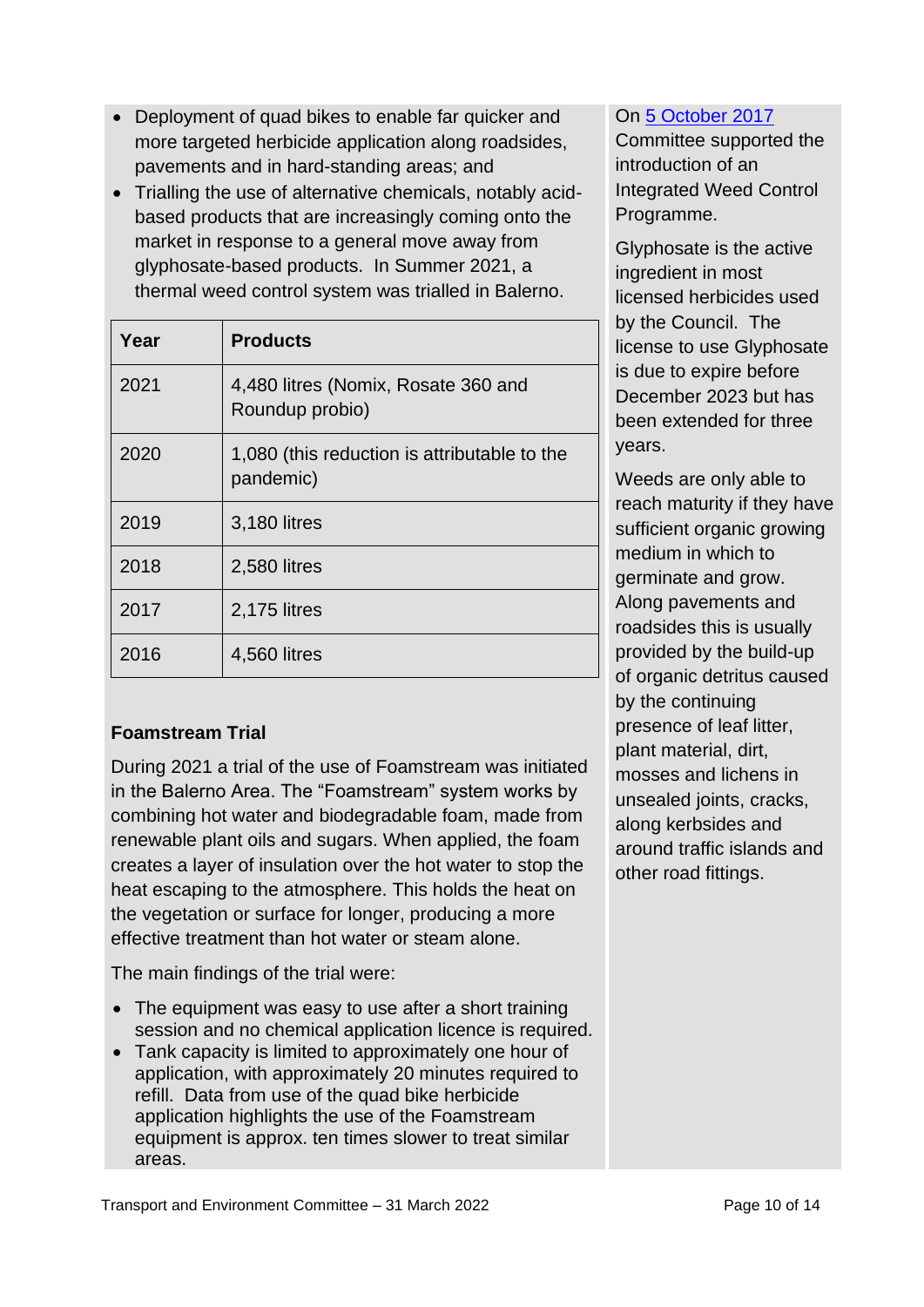- Deployment of quad bikes to enable far quicker and more targeted herbicide application along roadsides, pavements and in hard-standing areas; and
- Trialling the use of alternative chemicals, notably acidbased products that are increasingly coming onto the market in response to a general move away from glyphosate-based products. In Summer 2021, a thermal weed control system was trialled in Balerno.

| Year | <b>Products</b>                                           |
|------|-----------------------------------------------------------|
| 2021 | 4,480 litres (Nomix, Rosate 360 and<br>Roundup probio)    |
| 2020 | 1,080 (this reduction is attributable to the<br>pandemic) |
| 2019 | 3,180 litres                                              |
| 2018 | 2,580 litres                                              |
| 2017 | 2,175 litres                                              |
| 2016 | 4,560 litres                                              |

#### **Foamstream Trial**

During 2021 a trial of the use of Foamstream was initiated in the Balerno Area. The "Foamstream" system works by combining hot water and biodegradable foam, made from renewable plant oils and sugars. When applied, the foam creates a layer of insulation over the hot water to stop the heat escaping to the atmosphere. This holds the heat on the vegetation or surface for longer, producing a more effective treatment than hot water or steam alone.

The main findings of the trial were:

- The equipment was easy to use after a short training session and no chemical application licence is required.
- Tank capacity is limited to approximately one hour of application, with approximately 20 minutes required to refill. Data from use of the quad bike herbicide application highlights the use of the Foamstream equipment is approx. ten times slower to treat similar areas.

#### On [5 October 2017](https://democracy.edinburgh.gov.uk/CeListDocuments.aspx?CommitteeId=136&MeetingId=4752&DF=05%2f10%2f2017&Ver=2)

Committee supported the introduction of an Integrated Weed Control Programme.

Glyphosate is the active ingredient in most licensed herbicides used by the Council. The license to use Glyphosate is due to expire before December 2023 but has been extended for three years.

Weeds are only able to reach maturity if they have sufficient organic growing medium in which to germinate and grow. Along pavements and roadsides this is usually provided by the build-up of organic detritus caused by the continuing presence of leaf litter, plant material, dirt, mosses and lichens in unsealed joints, cracks, along kerbsides and around traffic islands and other road fittings.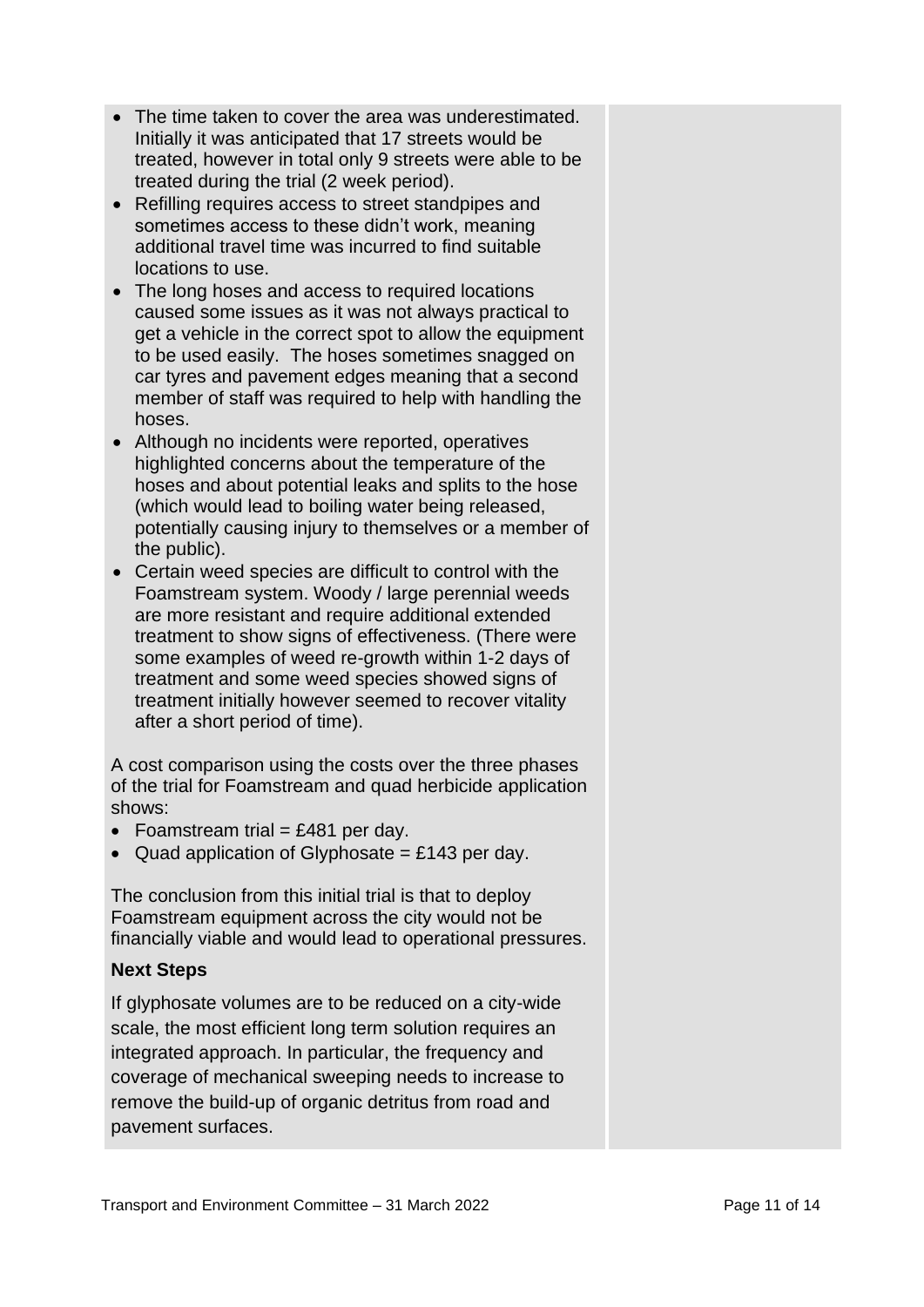- The time taken to cover the area was underestimated. Initially it was anticipated that 17 streets would be treated, however in total only 9 streets were able to be treated during the trial (2 week period).
- Refilling requires access to street standpipes and sometimes access to these didn't work, meaning additional travel time was incurred to find suitable locations to use.
- The long hoses and access to required locations caused some issues as it was not always practical to get a vehicle in the correct spot to allow the equipment to be used easily. The hoses sometimes snagged on car tyres and pavement edges meaning that a second member of staff was required to help with handling the hoses.
- Although no incidents were reported, operatives highlighted concerns about the temperature of the hoses and about potential leaks and splits to the hose (which would lead to boiling water being released, potentially causing injury to themselves or a member of the public).
- Certain weed species are difficult to control with the Foamstream system. Woody / large perennial weeds are more resistant and require additional extended treatment to show signs of effectiveness. (There were some examples of weed re-growth within 1-2 days of treatment and some weed species showed signs of treatment initially however seemed to recover vitality after a short period of time).

A cost comparison using the costs over the three phases of the trial for Foamstream and quad herbicide application shows:

- Foamstream trial  $=$  £481 per day.
- Quad application of Glyphosate  $= \pounds 143$  per day.

The conclusion from this initial trial is that to deploy Foamstream equipment across the city would not be financially viable and would lead to operational pressures.

#### **Next Steps**

If glyphosate volumes are to be reduced on a city-wide scale, the most efficient long term solution requires an integrated approach. In particular, the frequency and coverage of mechanical sweeping needs to increase to remove the build-up of organic detritus from road and pavement surfaces.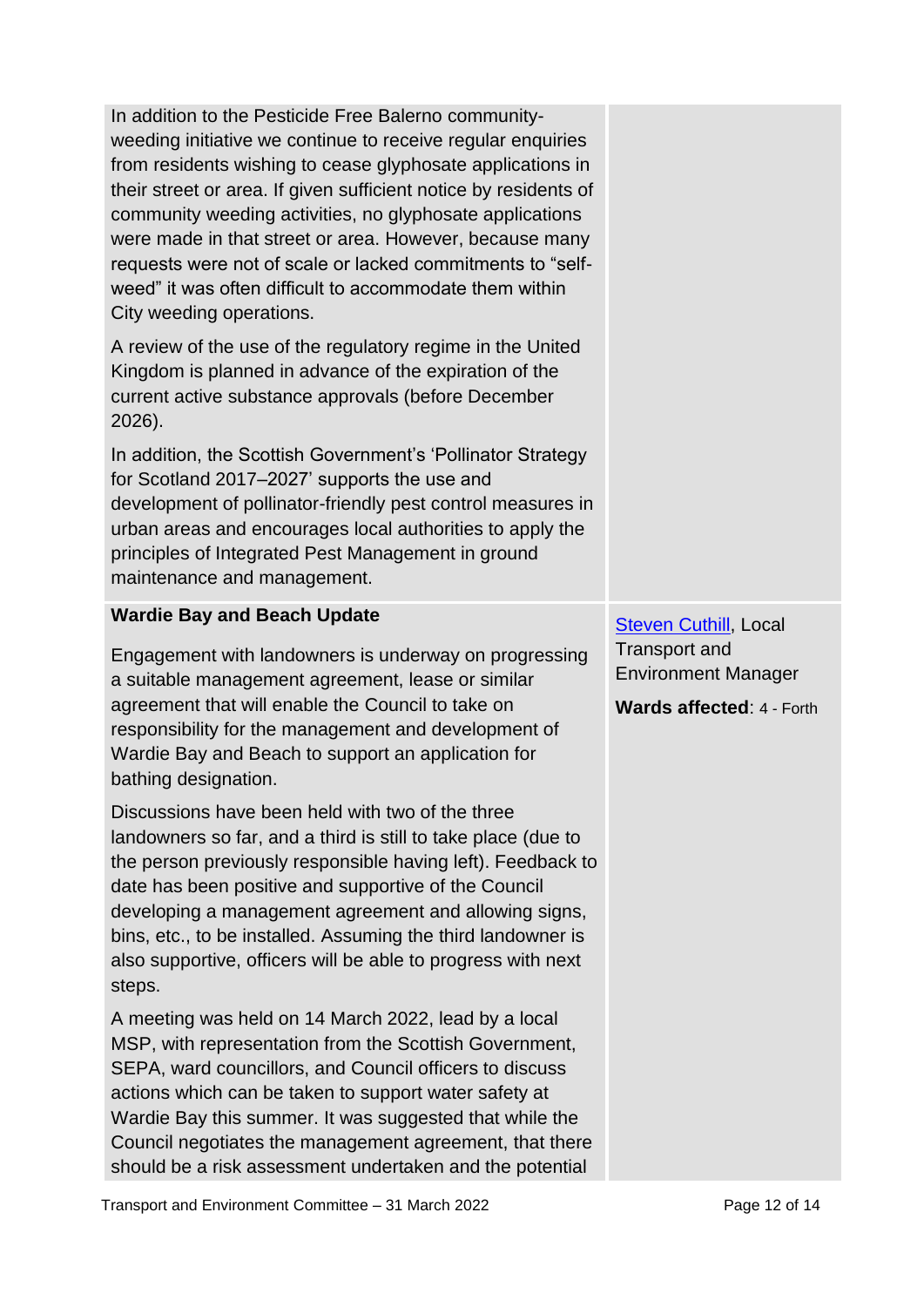In addition to the Pesticide Free Balerno communityweeding initiative we continue to receive regular enquiries from residents wishing to cease glyphosate applications in their street or area. If given sufficient notice by residents of community weeding activities, no glyphosate applications were made in that street or area. However, because many requests were not of scale or lacked commitments to "selfweed" it was often difficult to accommodate them within City weeding operations. A review of the use of the regulatory regime in the United Kingdom is planned in advance of the expiration of the current active substance approvals (before December 2026). In addition, the Scottish Government's 'Pollinator Strategy for Scotland 2017–2027' supports the use and development of pollinator-friendly pest control measures in urban areas and encourages local authorities to apply the principles of Integrated Pest Management in ground maintenance and management. **Wardie Bay and Beach Update** Engagement with landowners is underway on progressing a suitable management agreement, lease or similar agreement that will enable the Council to take on responsibility for the management and development of Wardie Bay and Beach to support an application for bathing designation. Discussions have been held with two of the three landowners so far, and a third is still to take place (due to the person previously responsible having left). Feedback to date has been positive and supportive of the Council developing a management agreement and allowing signs, bins, etc., to be installed. Assuming the third landowner is also supportive, officers will be able to progress with next steps. A meeting was held on 14 March 2022, lead by a local MSP, with representation from the Scottish Government, SEPA, ward councillors, and Council officers to discuss actions which can be taken to support water safety at Wardie Bay this summer. It was suggested that while the Council negotiates the management agreement, that there should be a risk assessment undertaken and the potential [Steven Cuthill,](mailto:steven.cuthill@edinburgh.gov.uk) Local Transport and Environment Manager **Wards affected**: 4 - Forth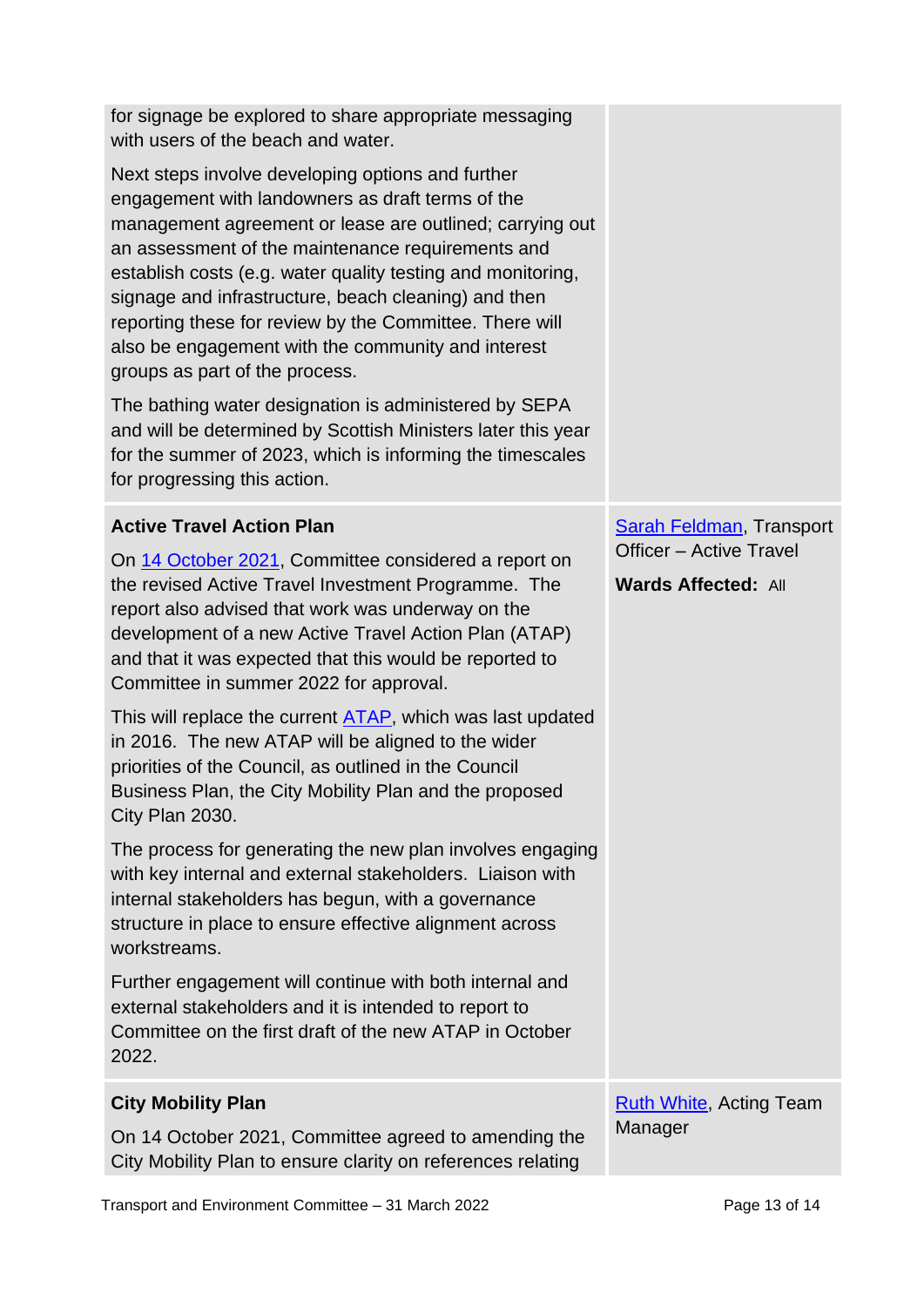| for signage be explored to share appropriate messaging<br>with users of the beach and water.                                                                                                                                                                                                                                                                                                                                                                                                     |                                                              |
|--------------------------------------------------------------------------------------------------------------------------------------------------------------------------------------------------------------------------------------------------------------------------------------------------------------------------------------------------------------------------------------------------------------------------------------------------------------------------------------------------|--------------------------------------------------------------|
| Next steps involve developing options and further<br>engagement with landowners as draft terms of the<br>management agreement or lease are outlined; carrying out<br>an assessment of the maintenance requirements and<br>establish costs (e.g. water quality testing and monitoring,<br>signage and infrastructure, beach cleaning) and then<br>reporting these for review by the Committee. There will<br>also be engagement with the community and interest<br>groups as part of the process. |                                                              |
| The bathing water designation is administered by SEPA<br>and will be determined by Scottish Ministers later this year<br>for the summer of 2023, which is informing the timescales<br>for progressing this action.                                                                                                                                                                                                                                                                               |                                                              |
| <b>Active Travel Action Plan</b>                                                                                                                                                                                                                                                                                                                                                                                                                                                                 | <b>Sarah Feldman, Transport</b>                              |
| On 14 October 2021, Committee considered a report on<br>the revised Active Travel Investment Programme. The<br>report also advised that work was underway on the<br>development of a new Active Travel Action Plan (ATAP)<br>and that it was expected that this would be reported to<br>Committee in summer 2022 for approval.                                                                                                                                                                   | <b>Officer - Active Travel</b><br><b>Wards Affected: All</b> |
| This will replace the current ATAP, which was last updated<br>in 2016. The new ATAP will be aligned to the wider<br>priorities of the Council, as outlined in the Council<br>Business Plan, the City Mobility Plan and the proposed<br>City Plan 2030.                                                                                                                                                                                                                                           |                                                              |
| The process for generating the new plan involves engaging<br>with key internal and external stakeholders. Liaison with<br>internal stakeholders has begun, with a governance<br>structure in place to ensure effective alignment across<br>workstreams.                                                                                                                                                                                                                                          |                                                              |
| Further engagement will continue with both internal and<br>external stakeholders and it is intended to report to<br>Committee on the first draft of the new ATAP in October<br>2022.                                                                                                                                                                                                                                                                                                             |                                                              |
| <b>City Mobility Plan</b>                                                                                                                                                                                                                                                                                                                                                                                                                                                                        | <b>Ruth White, Acting Team</b>                               |
| On 14 October 2021, Committee agreed to amending the<br>City Mobility Plan to ensure clarity on references relating                                                                                                                                                                                                                                                                                                                                                                              | Manager                                                      |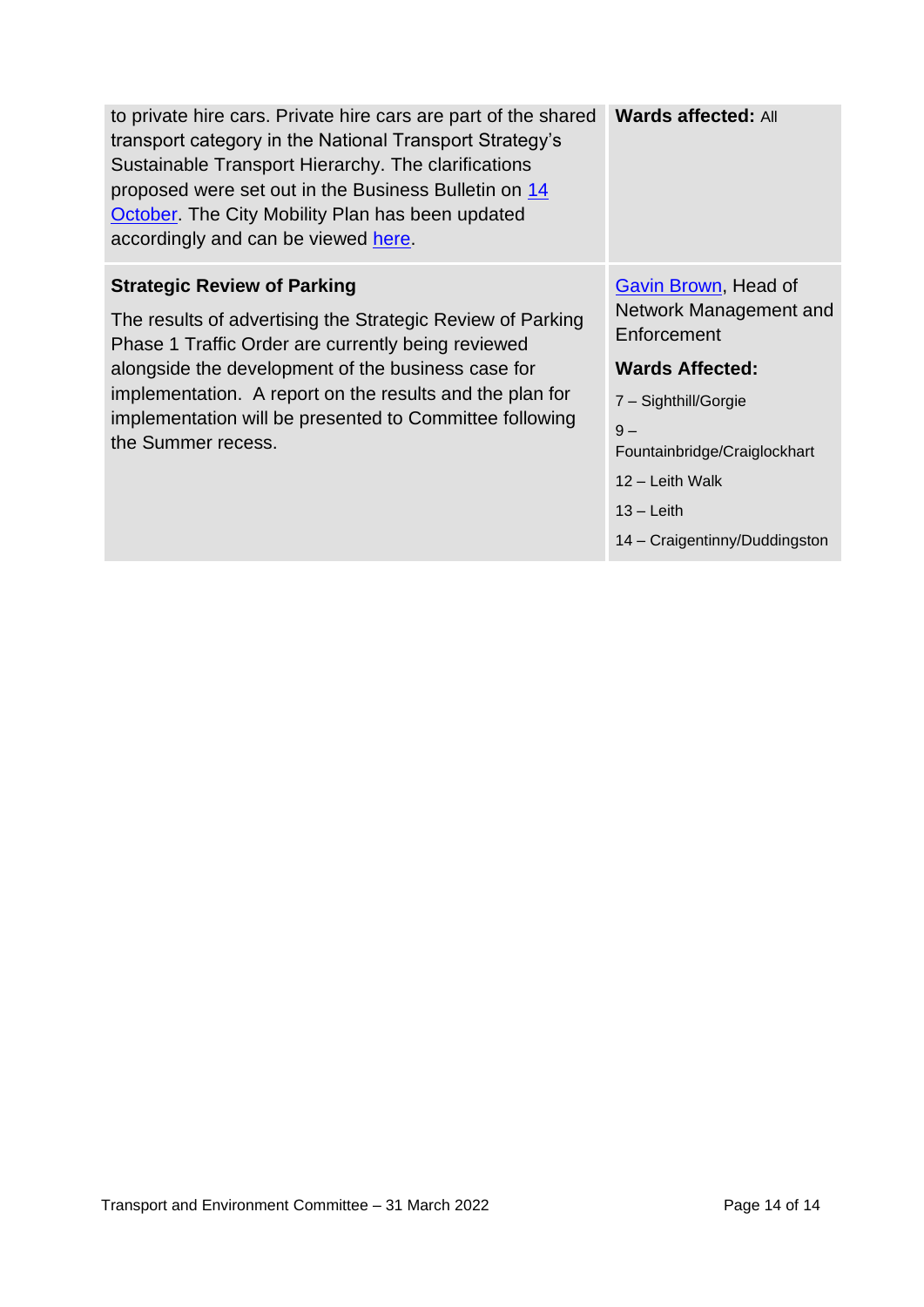| to private hire cars. Private hire cars are part of the shared<br>transport category in the National Transport Strategy's<br>Sustainable Transport Hierarchy. The clarifications<br>proposed were set out in the Business Bulletin on 14<br>October. The City Mobility Plan has been updated<br>accordingly and can be viewed here.                       | <b>Wards affected: All</b>                                                                                                                                                                                                  |
|-----------------------------------------------------------------------------------------------------------------------------------------------------------------------------------------------------------------------------------------------------------------------------------------------------------------------------------------------------------|-----------------------------------------------------------------------------------------------------------------------------------------------------------------------------------------------------------------------------|
| <b>Strategic Review of Parking</b><br>The results of advertising the Strategic Review of Parking<br>Phase 1 Traffic Order are currently being reviewed<br>alongside the development of the business case for<br>implementation. A report on the results and the plan for<br>implementation will be presented to Committee following<br>the Summer recess. | Gavin Brown, Head of<br>Network Management and<br>Enforcement<br><b>Wards Affected:</b><br>7 - Sighthill/Gorgie<br>$9-$<br>Fountainbridge/Craiglockhart<br>12 - Leith Walk<br>$13 -$ Leith<br>14 - Craigentinny/Duddingston |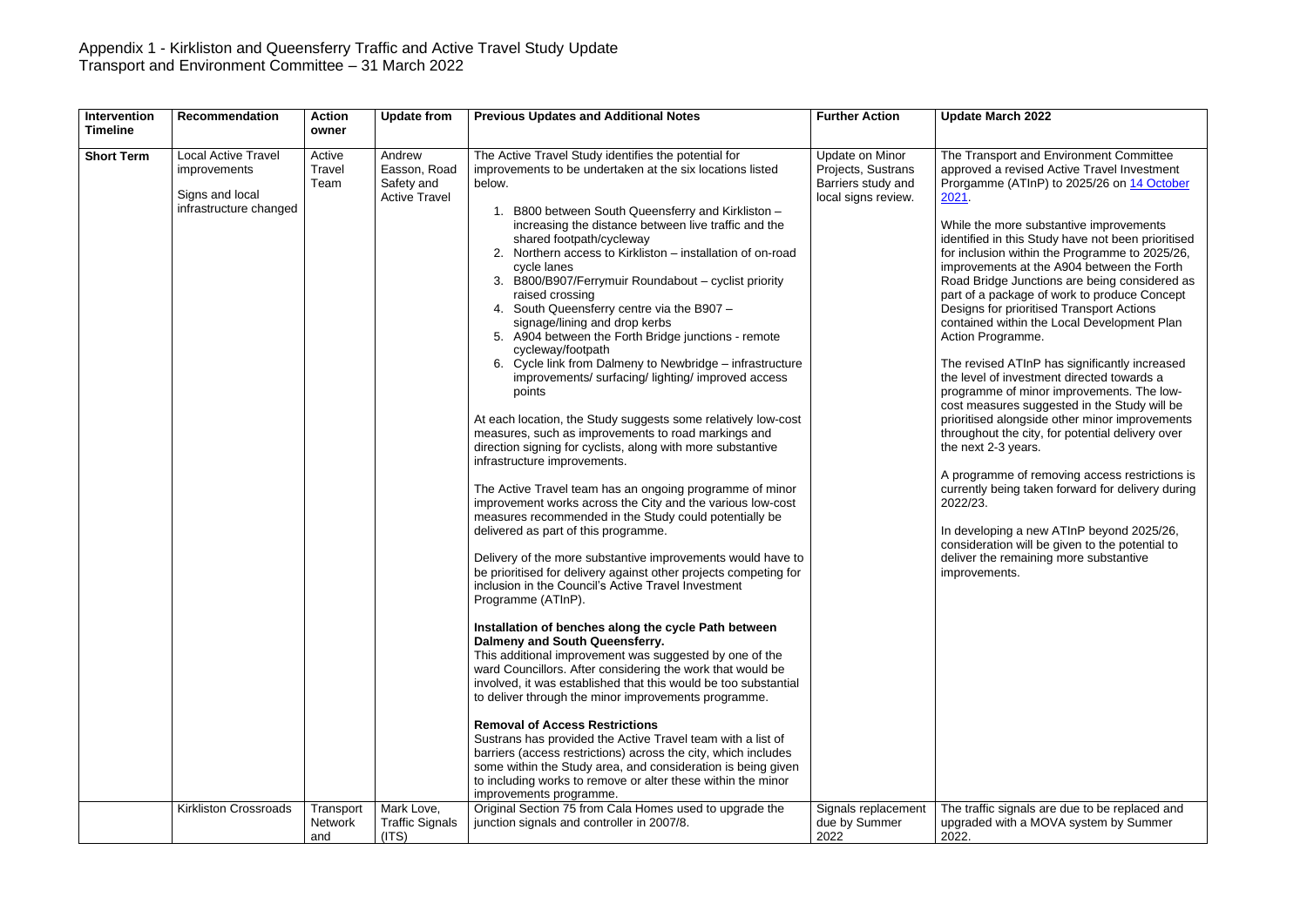| Intervention<br><b>Timeline</b> | <b>Recommendation</b>                                                                                                          | <b>Action</b><br>owner                | <b>Update from</b>                                                         | <b>Previous Updates and Additional Notes</b>                                                                                                                                                                                                                                                                                                                                                                                                                                                                                                                                                                                                                                                                                                                                                                                                                                                                                                                                                                                                                                                                                                                                                                                                                                                                                                                                                                                                                                                                                                                                                                                                                                                                                                                                                                                                                                                                                                                                                                                                                                                                                          | <b>Further Action</b>                                                                                     | <b>Update March 2022</b>                                                                                                                                                                                                                                                                                                                                                                                                                                                                                                                                                                                                                                        |
|---------------------------------|--------------------------------------------------------------------------------------------------------------------------------|---------------------------------------|----------------------------------------------------------------------------|---------------------------------------------------------------------------------------------------------------------------------------------------------------------------------------------------------------------------------------------------------------------------------------------------------------------------------------------------------------------------------------------------------------------------------------------------------------------------------------------------------------------------------------------------------------------------------------------------------------------------------------------------------------------------------------------------------------------------------------------------------------------------------------------------------------------------------------------------------------------------------------------------------------------------------------------------------------------------------------------------------------------------------------------------------------------------------------------------------------------------------------------------------------------------------------------------------------------------------------------------------------------------------------------------------------------------------------------------------------------------------------------------------------------------------------------------------------------------------------------------------------------------------------------------------------------------------------------------------------------------------------------------------------------------------------------------------------------------------------------------------------------------------------------------------------------------------------------------------------------------------------------------------------------------------------------------------------------------------------------------------------------------------------------------------------------------------------------------------------------------------------|-----------------------------------------------------------------------------------------------------------|-----------------------------------------------------------------------------------------------------------------------------------------------------------------------------------------------------------------------------------------------------------------------------------------------------------------------------------------------------------------------------------------------------------------------------------------------------------------------------------------------------------------------------------------------------------------------------------------------------------------------------------------------------------------|
| <b>Short Term</b>               | <b>Local Active Travel</b><br><i>improvements</i><br>Signs and local<br>infrastructure changed<br><b>Kirkliston Crossroads</b> | Active<br>Travel<br>Team<br>Transport | Andrew<br>Easson, Road<br>Safety and<br><b>Active Travel</b><br>Mark Love, | The Active Travel Study identifies the potential for<br>improvements to be undertaken at the six locations listed<br>below.<br>B800 between South Queensferry and Kirkliston -<br>1.<br>increasing the distance between live traffic and the<br>shared footpath/cycleway<br>Northern access to Kirkliston – installation of on-road<br>cycle lanes<br>3. B800/B907/Ferrymuir Roundabout - cyclist priority<br>raised crossing<br>4. South Queensferry centre via the B907 -<br>signage/lining and drop kerbs<br>5. A904 between the Forth Bridge junctions - remote<br>cycleway/footpath<br>6. Cycle link from Dalmeny to Newbridge - infrastructure<br>improvements/ surfacing/ lighting/ improved access<br>points<br>At each location, the Study suggests some relatively low-cost<br>measures, such as improvements to road markings and<br>direction signing for cyclists, along with more substantive<br>infrastructure improvements.<br>The Active Travel team has an ongoing programme of minor<br>improvement works across the City and the various low-cost<br>measures recommended in the Study could potentially be<br>delivered as part of this programme.<br>Delivery of the more substantive improvements would have to<br>be prioritised for delivery against other projects competing for<br>inclusion in the Council's Active Travel Investment<br>Programme (ATInP).<br>Installation of benches along the cycle Path between<br>Dalmeny and South Queensferry.<br>This additional improvement was suggested by one of the<br>ward Councillors. After considering the work that would be<br>involved, it was established that this would be too substantial<br>to deliver through the minor improvements programme.<br><b>Removal of Access Restrictions</b><br>Sustrans has provided the Active Travel team with a list of<br>barriers (access restrictions) across the city, which includes<br>some within the Study area, and consideration is being given<br>to including works to remove or alter these within the minor<br>improvements programme.<br>Original Section 75 from Cala Homes used to upgrade the | Update on Minor<br>Projects, Sustrans<br>Barriers study and<br>local signs review.<br>Signals replacement | The Transport and E<br>approved a revised /<br>Prorgamme (ATInP)<br><u>2021</u><br>While the more subs<br>identified in this Stud<br>for inclusion within th<br>improvements at the<br>Road Bridge Junctio<br>part of a package of<br>Designs for prioritise<br>contained within the<br>Action Programme.<br>The revised ATInP h<br>the level of investme<br>programme of minor<br>cost measures sugge<br>prioritised alongside<br>throughout the city, f<br>the next 2-3 years.<br>A programme of rem<br>currently being taker<br>2022/23.<br>In developing a new<br>consideration will be<br>deliver the remaining<br>improvements.<br>The traffic signals ar |
|                                 |                                                                                                                                | <b>Network</b><br>and                 | <b>Traffic Signals</b><br>(ITS)                                            | junction signals and controller in 2007/8.                                                                                                                                                                                                                                                                                                                                                                                                                                                                                                                                                                                                                                                                                                                                                                                                                                                                                                                                                                                                                                                                                                                                                                                                                                                                                                                                                                                                                                                                                                                                                                                                                                                                                                                                                                                                                                                                                                                                                                                                                                                                                            | due by Summer<br>2022                                                                                     | upgraded with a MO<br>2022.                                                                                                                                                                                                                                                                                                                                                                                                                                                                                                                                                                                                                                     |

**Insport and Environment Committee** d a revised Active Travel Investment me (ATInP) to 2025/26 on 14 October

e more substantive improvements identified in this Study have not been prioritised for inclusion within the Programme to 2025/26, ments at the A904 between the Forth idge Junctions are being considered as package of work to produce Concept for prioritised Transport Actions d within the Local Development Plan rogramme.

> sed ATInP has significantly increased of investment directed towards a me of minor improvements. The lowasures suggested in the Study will be ed alongside other minor improvements out the city, for potential delivery over 2-3 years.

mme of removing access restrictions is being taken forward for delivery during

oping a new ATInP beyond 2025/26, ation will be given to the potential to ne remaining more substantive ments.

ic signals are due to be replaced and d with a MOVA system by Summer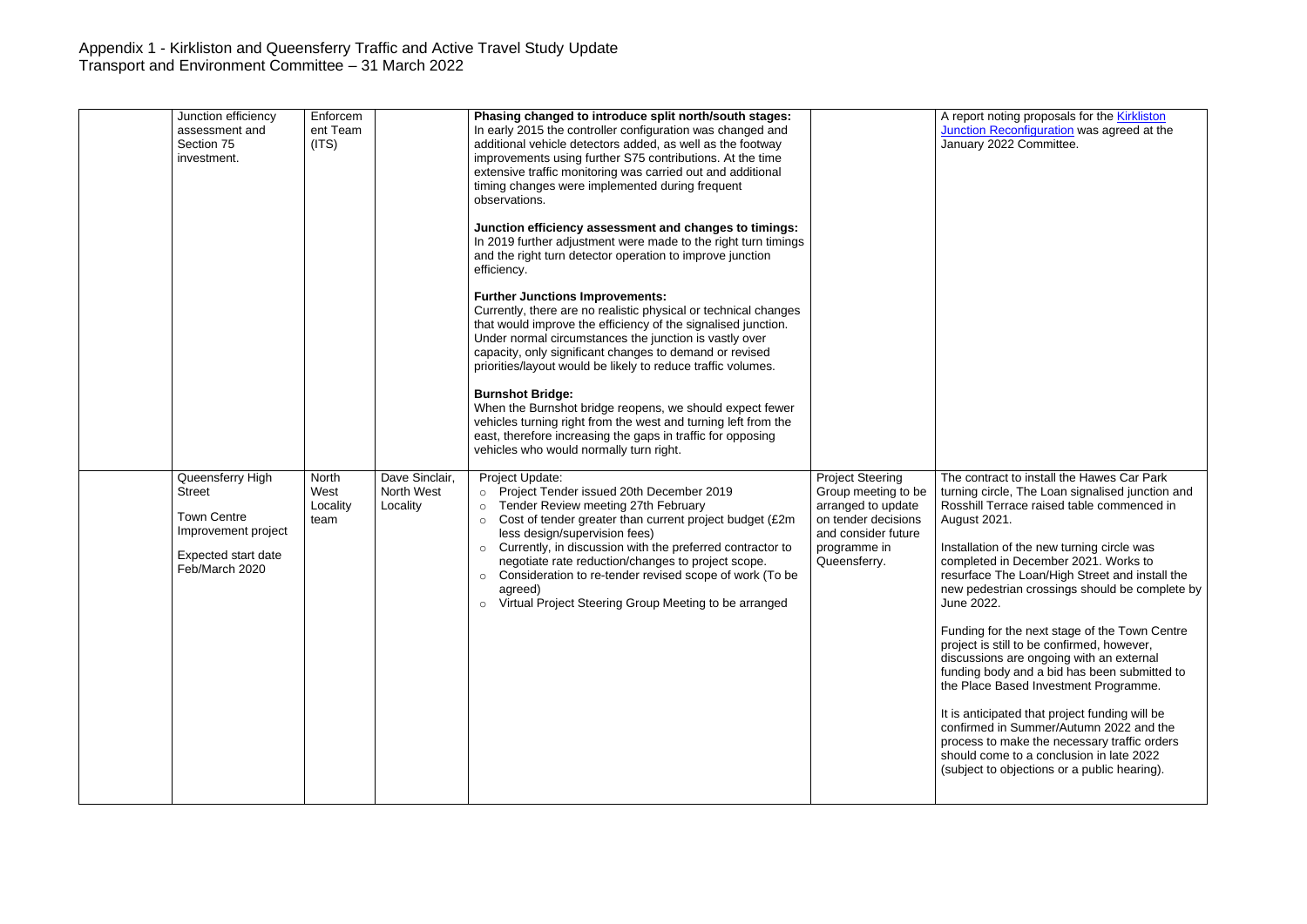|  | Junction efficiency<br>assessment and<br>Section 75<br>investment.                                                             | Enforcem<br>ent Team<br>(ITS)     |                                          | Phasing changed to introduce split north/south stages:<br>In early 2015 the controller configuration was changed and<br>additional vehicle detectors added, as well as the footway<br>improvements using further S75 contributions. At the time<br>extensive traffic monitoring was carried out and additional<br>timing changes were implemented during frequent<br>observations.<br>Junction efficiency assessment and changes to timings:<br>In 2019 further adjustment were made to the right turn timings<br>and the right turn detector operation to improve junction<br>efficiency.<br><b>Further Junctions Improvements:</b><br>Currently, there are no realistic physical or technical changes<br>that would improve the efficiency of the signalised junction.<br>Under normal circumstances the junction is vastly over<br>capacity, only significant changes to demand or revised<br>priorities/layout would be likely to reduce traffic volumes.<br><b>Burnshot Bridge:</b><br>When the Burnshot bridge reopens, we should expect fewer<br>vehicles turning right from the west and turning left from the<br>east, therefore increasing the gaps in traffic for opposing<br>vehicles who would normally turn right. |                                                                                                                                                    | A report<br><b>Junction</b><br><b>January</b>                                                                                                                                                                                                   |
|--|--------------------------------------------------------------------------------------------------------------------------------|-----------------------------------|------------------------------------------|----------------------------------------------------------------------------------------------------------------------------------------------------------------------------------------------------------------------------------------------------------------------------------------------------------------------------------------------------------------------------------------------------------------------------------------------------------------------------------------------------------------------------------------------------------------------------------------------------------------------------------------------------------------------------------------------------------------------------------------------------------------------------------------------------------------------------------------------------------------------------------------------------------------------------------------------------------------------------------------------------------------------------------------------------------------------------------------------------------------------------------------------------------------------------------------------------------------------------------|----------------------------------------------------------------------------------------------------------------------------------------------------|-------------------------------------------------------------------------------------------------------------------------------------------------------------------------------------------------------------------------------------------------|
|  | Queensferry High<br><b>Street</b><br><b>Town Centre</b><br>Improvement project<br><b>Expected start date</b><br>Feb/March 2020 | North<br>West<br>Locality<br>team | Dave Sinclair,<br>North West<br>Locality | Project Update:<br>Project Tender issued 20th December 2019<br>$\circ$<br>Tender Review meeting 27th February<br>$\circ$<br>Cost of tender greater than current project budget (£2m<br>$\circ$<br>less design/supervision fees)<br>Currently, in discussion with the preferred contractor to<br>$\circ$<br>negotiate rate reduction/changes to project scope.<br>Consideration to re-tender revised scope of work (To be<br>$\circ$<br>agreed)<br>Virtual Project Steering Group Meeting to be arranged<br>$\circ$                                                                                                                                                                                                                                                                                                                                                                                                                                                                                                                                                                                                                                                                                                               | <b>Project Steering</b><br>Group meeting to be<br>arranged to update<br>on tender decisions<br>and consider future<br>programme in<br>Queensferry. | The cont<br>turning c<br>Rosshill<br>August 2<br>Installatio<br>complete<br>resurface<br>new ped<br>June 202<br>Funding<br>project is<br>discussic<br>funding b<br>the Place<br>It is antic<br>confirme<br>process t<br>should co<br>(subject t |

noting proposals for the **Kirkliston** Reconfiguration was agreed at the 2022 Committee.

tract to install the Hawes Car Park turning circle, The Loan signalised junction and Rosshill Terrace raised table commenced in  $2021.$ 

Installation of the new turning circle was completed in December 2021. Works to e The Loan/High Street and install the destrian crossings should be complete by 22.

> for the next stage of the Town Centre still to be confirmed, however, ons are ongoing with an external body and a bid has been submitted to e Based Investment Programme.

It is anticipated that project funding will be confirmed in Summer/Autumn 2022 and the to make the necessary traffic orders ome to a conclusion in late 2022 to objections or a public hearing).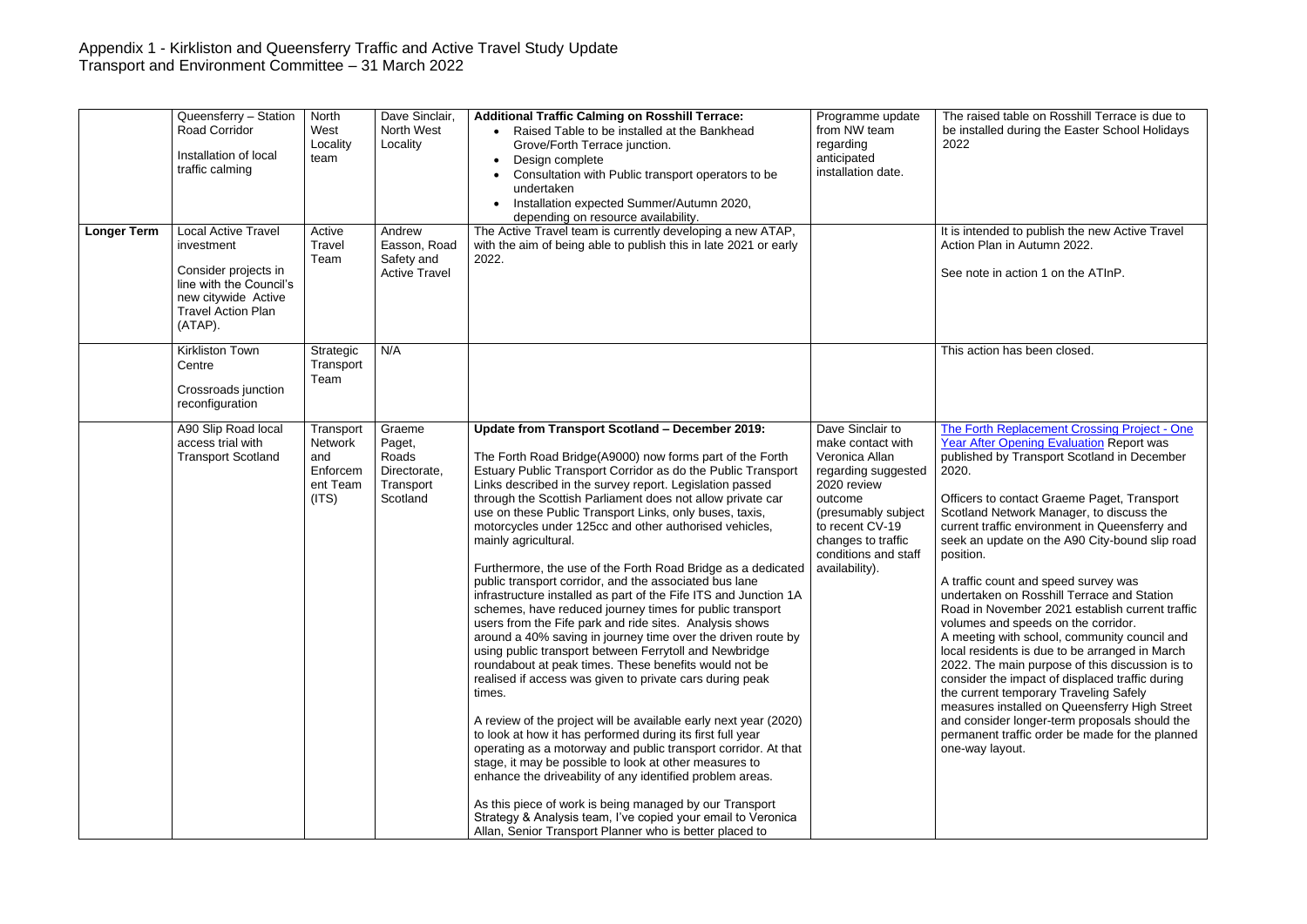|                    | Queensferry - Station<br><b>Road Corridor</b><br>Installation of local<br>traffic calming                                                                  | North<br>West<br>Locality<br>team                                   | Dave Sinclair,<br>North West<br>Locality                           | <b>Additional Traffic Calming on Rosshill Terrace:</b><br>Raised Table to be installed at the Bankhead<br>$\bullet$<br>Grove/Forth Terrace junction.<br>Design complete<br>$\bullet$<br>Consultation with Public transport operators to be<br>undertaken<br>Installation expected Summer/Autumn 2020,<br>depending on resource availability.                                                                                                                                                                                                                                                                                                                                                                                                                                                                                                                                                                                                                                                                                                                                                                                                                                                                                                                                                                                                                                                                                                                                                                                                      | Programme update<br>from NW team<br>regarding<br>anticipated<br>installation date.                                                                                                                                 | The rais<br>be instal<br>2022                                                                                                                                                                                                                                                          |
|--------------------|------------------------------------------------------------------------------------------------------------------------------------------------------------|---------------------------------------------------------------------|--------------------------------------------------------------------|---------------------------------------------------------------------------------------------------------------------------------------------------------------------------------------------------------------------------------------------------------------------------------------------------------------------------------------------------------------------------------------------------------------------------------------------------------------------------------------------------------------------------------------------------------------------------------------------------------------------------------------------------------------------------------------------------------------------------------------------------------------------------------------------------------------------------------------------------------------------------------------------------------------------------------------------------------------------------------------------------------------------------------------------------------------------------------------------------------------------------------------------------------------------------------------------------------------------------------------------------------------------------------------------------------------------------------------------------------------------------------------------------------------------------------------------------------------------------------------------------------------------------------------------------|--------------------------------------------------------------------------------------------------------------------------------------------------------------------------------------------------------------------|----------------------------------------------------------------------------------------------------------------------------------------------------------------------------------------------------------------------------------------------------------------------------------------|
| <b>Longer Term</b> | <b>Local Active Travel</b><br>investment<br>Consider projects in<br>line with the Council's<br>new citywide Active<br><b>Travel Action Plan</b><br>(ATAP). | Active<br>Travel<br>Team                                            | Andrew<br>Easson, Road<br>Safety and<br><b>Active Travel</b>       | The Active Travel team is currently developing a new ATAP,<br>with the aim of being able to publish this in late 2021 or early<br>2022.                                                                                                                                                                                                                                                                                                                                                                                                                                                                                                                                                                                                                                                                                                                                                                                                                                                                                                                                                                                                                                                                                                                                                                                                                                                                                                                                                                                                           |                                                                                                                                                                                                                    | It is inter<br><b>Action P</b><br>See note                                                                                                                                                                                                                                             |
|                    | Kirkliston Town<br>Centre<br>Crossroads junction<br>reconfiguration                                                                                        | Strategic<br>Transport<br>Team                                      | N/A                                                                |                                                                                                                                                                                                                                                                                                                                                                                                                                                                                                                                                                                                                                                                                                                                                                                                                                                                                                                                                                                                                                                                                                                                                                                                                                                                                                                                                                                                                                                                                                                                                   |                                                                                                                                                                                                                    | This acti                                                                                                                                                                                                                                                                              |
|                    | A90 Slip Road local<br>access trial with<br><b>Transport Scotland</b>                                                                                      | Transport<br><b>Network</b><br>and<br>Enforcem<br>ent Team<br>(ITS) | Graeme<br>Paget,<br>Roads<br>Directorate,<br>Transport<br>Scotland | Update from Transport Scotland - December 2019:<br>The Forth Road Bridge(A9000) now forms part of the Forth<br>Estuary Public Transport Corridor as do the Public Transport<br>Links described in the survey report. Legislation passed<br>through the Scottish Parliament does not allow private car<br>use on these Public Transport Links, only buses, taxis,<br>motorcycles under 125cc and other authorised vehicles,<br>mainly agricultural.<br>Furthermore, the use of the Forth Road Bridge as a dedicated<br>public transport corridor, and the associated bus lane<br>infrastructure installed as part of the Fife ITS and Junction 1A<br>schemes, have reduced journey times for public transport<br>users from the Fife park and ride sites. Analysis shows<br>around a 40% saving in journey time over the driven route by<br>using public transport between Ferrytoll and Newbridge<br>roundabout at peak times. These benefits would not be<br>realised if access was given to private cars during peak<br>times.<br>A review of the project will be available early next year (2020)<br>to look at how it has performed during its first full year<br>operating as a motorway and public transport corridor. At that<br>stage, it may be possible to look at other measures to<br>enhance the driveability of any identified problem areas.<br>As this piece of work is being managed by our Transport<br>Strategy & Analysis team, I've copied your email to Veronica<br>Allan, Senior Transport Planner who is better placed to | Dave Sinclair to<br>make contact with<br>Veronica Allan<br>regarding suggested<br>2020 review<br>outcome<br>(presumably subject<br>to recent CV-19<br>changes to traffic<br>conditions and staff<br>availability). | <b>The Fort</b><br>Year Afte<br>publishe<br>2020.<br>Officers <sup>t</sup><br>Scotland<br>current ti<br>seek an<br>position.<br>A traffic<br>undertak<br>Road in<br>volumes<br>A meetin<br>local res<br>2022. Th<br>consider<br>the curre<br>measure<br>and cons<br>permane<br>one-way |

ed table on Rosshill Terrace is due to alled during the Easter School Holidays

It ided to publish the new Active Travel lan in Autumn 2022.

e in action 1 on the ATInP.

ion has been closed.

th Replacement Crossing Project - One **The Contract After Opening Evaluation Report was** ed by Transport Scotland in December

to contact Graeme Paget, Transport **Network Manager, to discuss the** raffic environment in Queensferry and update on the A90 City-bound slip road

count and speed survey was ken on Rosshill Terrace and Station November 2021 establish current traffic and speeds on the corridor.

ng with school, community council and idents is due to be arranged in March e main purpose of this discussion is to the impact of displaced traffic during are curptus of the procent temporary Traveling Safely es installed on Queensferry High Street and consider longer-term proposals should the ent traffic order be made for the planned layout.